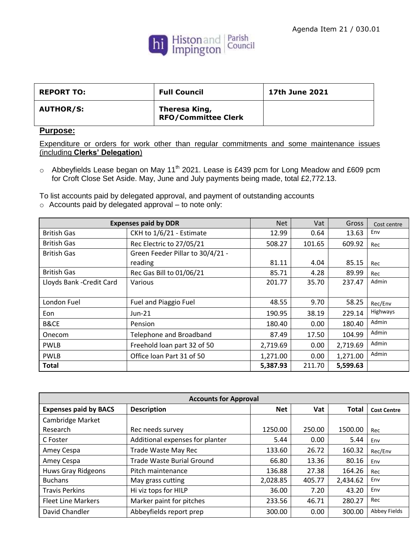

| <b>REPORT TO:</b> | <b>Full Council</b>                         | 17th June 2021 |
|-------------------|---------------------------------------------|----------------|
| <b>AUTHOR/S:</b>  | Theresa King,<br><b>RFO/Committee Clerk</b> |                |

## **Purpose:**

Expenditure or orders for work other than regular commitments and some maintenance issues (including **Clerks' Delegation**)

 $\circ$  Abbeyfields Lease began on May 11<sup>th</sup> 2021. Lease is £439 pcm for Long Meadow and £609 pcm for Croft Close Set Aside. May, June and July payments being made, total £2,772.13.

To list accounts paid by delegated approval, and payment of outstanding accounts o Accounts paid by delegated approval – to note only:

| <b>Expenses paid by DDR</b> |                                  | <b>Net</b> | Vat    | Gross    | Cost centre |
|-----------------------------|----------------------------------|------------|--------|----------|-------------|
| <b>British Gas</b>          | CKH to 1/6/21 - Estimate         | 12.99      | 0.64   | 13.63    | Env         |
| <b>British Gas</b>          | Rec Electric to 27/05/21         | 508.27     | 101.65 | 609.92   | Rec         |
| <b>British Gas</b>          | Green Feeder Pillar to 30/4/21 - |            |        |          |             |
|                             | reading                          | 81.11      | 4.04   | 85.15    | Rec         |
| <b>British Gas</b>          | Rec Gas Bill to 01/06/21         | 85.71      | 4.28   | 89.99    | Rec         |
| Lloyds Bank - Credit Card   | Various                          | 201.77     | 35.70  | 237.47   | Admin       |
|                             |                                  |            |        |          |             |
| London Fuel                 | Fuel and Piaggio Fuel            | 48.55      | 9.70   | 58.25    | Rec/Env     |
| Eon                         | $Jun-21$                         | 190.95     | 38.19  | 229.14   | Highways    |
| B&CE                        | Pension                          | 180.40     | 0.00   | 180.40   | Admin       |
| Onecom                      | Telephone and Broadband          | 87.49      | 17.50  | 104.99   | Admin       |
| <b>PWLB</b>                 | Freehold loan part 32 of 50      | 2,719.69   | 0.00   | 2,719.69 | Admin       |
| <b>PWLB</b>                 | Office loan Part 31 of 50        | 1,271.00   | 0.00   | 1,271.00 | Admin       |
| Total                       |                                  | 5,387.93   | 211.70 | 5,599.63 |             |

| <b>Accounts for Approval</b> |                                  |            |        |              |                    |
|------------------------------|----------------------------------|------------|--------|--------------|--------------------|
| <b>Expenses paid by BACS</b> | <b>Description</b>               | <b>Net</b> | Vat    | <b>Total</b> | <b>Cost Centre</b> |
| Cambridge Market             |                                  |            |        |              |                    |
| Research                     | Rec needs survey                 | 1250.00    | 250.00 | 1500.00      | Rec                |
| C Foster                     | Additional expenses for planter  | 5.44       | 0.00   | 5.44         | Env                |
| Amey Cespa                   | Trade Waste May Rec              | 133.60     | 26.72  | 160.32       | Rec/Env            |
| Amey Cespa                   | <b>Trade Waste Burial Ground</b> | 66.80      | 13.36  | 80.16        | Env                |
| Huws Gray Ridgeons           | Pitch maintenance                | 136.88     | 27.38  | 164.26       | Rec                |
| <b>Buchans</b>               | May grass cutting                | 2,028.85   | 405.77 | 2,434.62     | Env                |
| <b>Travis Perkins</b>        | Hi viz tops for HILP             | 36.00      | 7.20   | 43.20        | Env                |
| <b>Fleet Line Markers</b>    | Marker paint for pitches         | 233.56     | 46.71  | 280.27       | Rec                |
| David Chandler               | Abbeyfields report prep          | 300.00     | 0.00   | 300.00       | Abbey Fields       |